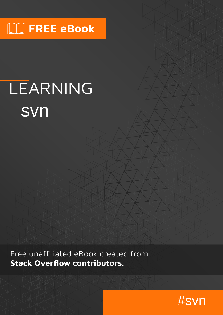# **MINTEREE eBook**

# LEARNING svn

Free unaffiliated eBook created from **Stack Overflow contributors.** 

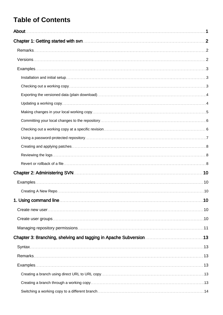# **Table of Contents**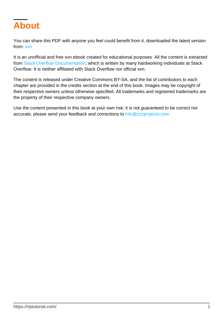<span id="page-3-0"></span>

You can share this PDF with anyone you feel could benefit from it, downloaded the latest version from: [svn](http://riptutorial.com/ebook/svn)

It is an unofficial and free svn ebook created for educational purposes. All the content is extracted from [Stack Overflow Documentation](https://archive.org/details/documentation-dump.7z), which is written by many hardworking individuals at Stack Overflow. It is neither affiliated with Stack Overflow nor official svn.

The content is released under Creative Commons BY-SA, and the list of contributors to each chapter are provided in the credits section at the end of this book. Images may be copyright of their respective owners unless otherwise specified. All trademarks and registered trademarks are the property of their respective company owners.

Use the content presented in this book at your own risk; it is not guaranteed to be correct nor accurate, please send your feedback and corrections to [info@zzzprojects.com](mailto:info@zzzprojects.com)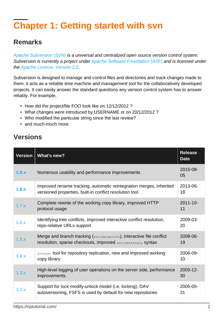# <span id="page-4-0"></span>**Chapter 1: Getting started with svn**

### <span id="page-4-1"></span>**Remarks**

[Apache Subversion \(SVN\)](http://subversion.apache.org/) is a universal and centralized open source version control system. Subversion is currently a project under [Apache Software Foundation \(ASF\)](http://www.apache.org/) and is licensed under the [Apache License, Version 2.0.](http://www.apache.org/licenses/LICENSE-2.0)

Subversion is designed to manage and control files and directories and track changes made to them; it acts as a reliable *time machine* and *management tool* for the collaboratively developed projects. It can easily answer the standard questions any version control system has to answer reliably. For example,

- How did the project/file FOO look like on 12/12/2012 ?
- What changes were introduced by USERNAME or on 20/12/2012 ?
- Who modified the particular string since the last review?
- and much-much more.

### <span id="page-4-2"></span>**Versions**

| Version | <b>What's new?</b>                                                                                                                    |                     |
|---------|---------------------------------------------------------------------------------------------------------------------------------------|---------------------|
| 1.9.x   | Numerous usability and performance improvements                                                                                       | 2015-08-<br>05      |
| 1.8.x   | Improved rename tracking, automatic reintegration merges, inherited<br>versioned properties, built-in conflict resolution tool        | 2013-06-<br>18      |
| 1.7.x   | Complete rewrite of the working copy library, improved HTTP<br>protocol usage                                                         | $2011 - 10 -$<br>11 |
| 1.6.x   | Identifying tree conflicts, improved interactive conflict resolution,<br>repo-relative URLs support                                   | 2009-03-<br>20      |
| 1.5.x   | Merge and branch tracking (svn: mergeinfo), interactive file conflict<br>resolution, sparse checkouts, improved syn: externals syntax | 2008-06-<br>19      |
| 1.4.x   | synsync tool for repository replication, new and improved working<br>copy library                                                     | 2006-09-<br>10      |
| 1.3.x   | High-level logging of user operations on the server side, performance<br>improvements                                                 | 2005-12-<br>30      |
| 1.2.x   | Support for lock-modify-unlock model (i.e. locking), DAV<br>autoversioning, FSFS is used by default for new repositories              | 2005-05-<br>21      |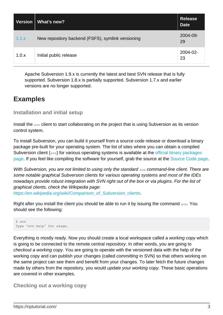| <b>Version</b> | What's new?                                       | <b>Release</b><br><b>Date</b> |
|----------------|---------------------------------------------------|-------------------------------|
| 1.1.x          | New repository backend (FSFS), symlink versioning | 2004-09-<br>29                |
| 1.0.x          | Initial public release                            | 2004-02-<br>23                |

Apache Subversion 1.9.x is currently the latest and best SVN release that is fully supported. Subversion 1.8.x is partially supported. Subversion 1.7.x and earlier versions are no longer supported.

### <span id="page-5-0"></span>**Examples**

<span id="page-5-1"></span>**Installation and initial setup**

Install the svn client to start collaborating on the project that is using Subversion as its version control system.

To install Subversion, you can build it yourself from a source code release or download a binary package pre-built for your operating system. The list of sites where you can obtain a compiled Subversion client (svn) for various operating systems is available at the [official binary packages](http://subversion.apache.org/packages.html) [page.](http://subversion.apache.org/packages.html) If you feel like compiling the software for yourself, grab the source at the [Source Code page.](http://subversion.apache.org/source-code.html)

With Subversion, you are not limited to using only the standard syn command-line client. There are some notable graphical Subversion clients for various operating systems and most of the IDEs nowadays provide robust integration with SVN right out of the box or via plugins. For the list of graphical clients, check the Wikipedia page: [https://en.wikipedia.org/wiki/Comparison\\_of\\_Subversion\\_clients](https://en.wikipedia.org/wiki/Comparison_of_Subversion_clients).

Right after you install the client you should be able to run it by issuing the command syn. You should see the following:

```
$ svn
Type 'svn help' for usage.
```
Everything is mostly ready. Now you should create a local workspace called a working copy which is going to be connected to the remote central repository. In other words, you are going to checkout a working copy. You are going to operate with the versioned data with the help of the working copy and can publish your changes (called committing in SVN) so that others working on the same project can see them and benefit from your changes. To later fetch the future changes made by others from the repository, you would update your working copy. These basic operations are covered in other examples.

<span id="page-5-2"></span>**Checking out a working copy**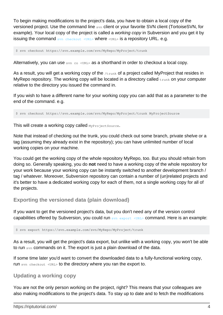To begin making modifications to the project's data, you have to obtain a local copy of the versioned project. Use the command line svn client or your favorite SVN client (TortoiseSVN, for example). Your local copy of the project is called a working copy in Subversion and you get it by issuing the command  $_{syn\;check\; (NRL) \to NRL}$  where  $_{VURL}$  is a repository URL. e.g.

\$ svn checkout https://svn.example.com/svn/MyRepo/MyProject/trunk

Alternatively, you can use  $_{\text{syn}}$  co  $\langle \text{URL} \rangle$  as a shorthand in order to checkout a local copy.

As a result, you will get a working copy of the  $/$ trunk of a project called MyProject that resides in MyRepo repository. The working copy will be located in a directory called  $t_{\text{runk}}$  on your computer relative to the directory you issued the command in.

If you wish to have a different name for your working copy you can add that as a parameter to the end of the command. e.g.

\$ svn checkout https://svn.example.com/svn/MyRepo/MyProject/trunk MyProjectSource

This will create a working copy called MyProjectSource.

Note that instead of checking out the trunk, you could check out some branch, private shelve or a tag (assuming they already exist in the repository); you can have unlimited number of local working copies on your machine.

You could get the working copy of the whole repository MyRepo, too. But you should refrain from doing so. Generally speaking, you do **not** need to have a working copy of the whole repository for your work because your working copy can be instantly switched to another development branch / tag / whatever. Moreover, Subversion repository can contain a number of (un)related projects and it's better to have a dedicated working copy for each of them, not a single working copy for all of the projects.

#### <span id="page-6-0"></span>**Exporting the versioned data (plain download)**

If you want to get the versioned project's data, but you don't need any of the version control capabilities offered by Subversion, you could run [svn export <URL>](http://svnbook.red-bean.com/en/1.8/svn.ref.svn.c.export.html) command. Here is an example:

\$ svn export https://svn.example.com/svn/MyRepo/MyProject/trunk

As a result, you will get the project's data export, but unlike with a working copy, you won't be able to run svn commands on it. The export is just a plain download of the data.

If some time later you'd want to convert the downloaded data to a fully-functional working copy, run svn checkout <URL> to the directory where you ran the export to.

#### <span id="page-6-1"></span>**Updating a working copy**

You are not the only person working on the project, right? This means that your colleagues are also making modifications to the project's data. To stay up to date and to fetch the modifications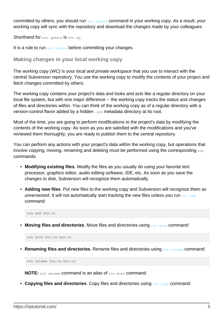committed by others, you should run [svn update](http://svnbook.red-bean.com/en/1.8/svn.ref.svn.c.update.html) command in your working copy. As a result, your working copy will sync with the repository and download the changes made by your colleagues.

Shorthand for syn update is syn up.

<span id="page-7-0"></span>It is a rule to run  $_{\text{syn update}}$  before committing your changes.

**Making changes in your local working copy**

The working copy (WC) is your local and private workspace that you use to interact with the central Subversion repository. You use the working copy to modify the contents of your project and fetch changes committed by others.

The working copy contains your project's data and looks and acts like a regular directory on your local file system, but with one major difference -- the working copy tracks the status and changes of files and directories within. You can think of the working copy as of a regular directory with a version-control flavor added by a hidden .svn metadata directory at its root.

Most of the time, you are going to perform modifications to the project's data by modifying the contents of the working copy. As soon as you are satisfied with the modifications and you've reviewed them thoroughly, you are ready to publish them to the central repository.

You can perform any actions with your project's data within the working copy, but operations that involve copying, moving, renaming and deleting must be performed using the corresponding syn commands:

- **Modifying existing files**. Modify the files as you usually do using your favorite text processor, graphics editor, audio editing software, IDE, etc. As soon as you save the changes to disk, Subversion will recognize them automatically.
- **Adding new files**. Put new files to the working copy and Subversion will recognize them as unversioned. It will not automatically start tracking the new files unless you run syn add command:

svn add foo.cs

**• Moving files and directories**. Move files and directories using syn move command:

svn move foo.cs bar.cs

**• Renaming files and directories**. Rename files and directories using syn rename command:

svn rename foo.cs bar.cs

**NOTE:** svn rename command is an alias of svn move command.

• **Copying files and directories**. Copy files and directories using syn copy command: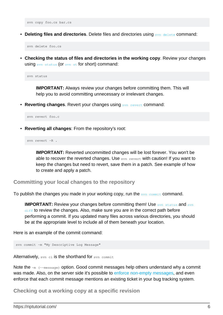svn copy foo.cs bar.cs

• Deleting files and directories. Delete files and directories using syn delete command:

svn delete foo.cs

**Checking the status of files and directories in the working copy**. Review your changes • using [svn status](http://svnbook.red-bean.com/en/1.8/svn.ref.svn.c.status.html) (or [svn st](http://svnbook.red-bean.com/en/1.8/svn.ref.svn.c.status.html) for short) command:

svn status

**IMPORTANT:** Always review your changes before committing them. This will help you to avoid committing unnecessary or irrelevant changes.

**• Reverting changes**. Revert your changes using syn revert command:

svn revert foo.c

**Reverting all changes**: From the repository's root: •

svn revert -R .

**IMPORTANT:** Reverted uncommitted changes will be lost forever. You won't be able to recover the reverted changes. Use syn revert with caution! If you want to keep the changes but need to revert, save them in a patch. See example of how to create and apply a patch.

<span id="page-8-0"></span>**Committing your local changes to the repository**

To publish the changes you made in your working copy, run the syn commit command.

**IMPORTANT:** Review your changes before committing them! Use syn status and syn [diff](http://svnbook.red-bean.com/en/1.8/svn.ref.svn.c.diff.html) to review the changes. Also, make sure you are in the correct path before performing a commit. If you updated many files across various directories, you should be at the appropriate level to include all of them beneath your location.

Here is an example of the commit command:

svn commit -m "My Descriptive Log Message"

Alternatively, svn ci is the shorthand for svn commit

Note the  $-m$  (--message) option. Good commit messages help others understand why a commit was made. Also, on the server side it's possible to [enforce non-empty messages](https://tortoisesvn.net/docs/nightly/TortoiseSVN_en/tsvn-howto-minlogmsgsize.html), and even enforce that each commit message mentions an existing ticket in your bug tracking system.

<span id="page-8-1"></span>**Checking out a working copy at a specific revision**

https://riptutorial.com/ 6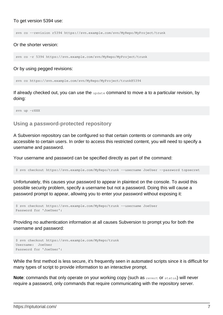#### To get version 5394 use:

svn co --revision r5394 https://svn.example.com/svn/MyRepo/MyProject/trunk

#### Or the shorter version:

```
svn co -r 5394 https://svn.example.com/svn/MyRepo/MyProject/trunk
```
#### Or by using pegged revisions:

```
svn co https://svn.example.com/svn/MyRepo/MyProject/trunk@5394
```
If already checked out, you can use the update command to move a to a particular revision, by doing:

<span id="page-9-0"></span>svn up -rXXX

#### **Using a password-protected repository**

A Subversion repository can be configured so that certain contents or commands are only accessible to certain users. In order to access this restricted content, you will need to specify a username and password.

Your username and password can be specified directly as part of the command:

\$ svn checkout https://svn.example.com/MyRepo/trunk --username JoeUser --password topsecret

Unfortunately, this causes your password to appear in plaintext on the console. To avoid this possible security problem, specify a username but not a password. Doing this will cause a password prompt to appear, allowing you to enter your password without exposing it:

```
$ svn checkout https://svn.example.com/MyRepo/trunk --username JoeUser
Password for 'JoeUser':
```
Providing no authentication information at all causes Subversion to prompt you for both the username and password:

```
$ svn checkout https://svn.example.com/MyRepo/trunk
Username: JoeUser
Password for 'JoeUser':
```
While the first method is less secure, it's frequently seen in automated scripts since it is difficult for many types of script to provide information to an interactive prompt.

**Note:** commands that only operate on your working copy (such as revert or status) will never require a password, only commands that require communicating with the repository server.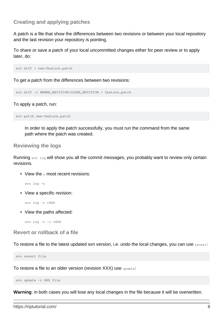#### <span id="page-10-0"></span>**Creating and applying patches**

A patch is a file that show the differences between two revisions or between your local repository and the last revision your repository is pointing.

To share or save a patch of your local uncommitted changes either for peer review or to apply later, do:

svn diff > new-feature.patch

To get a patch from the differences between two revisions:

svn diff -r NEWER\_REVISION:OLDER\_REVISION > feature.patch

To apply a patch, run:

svn patch new-feature.patch

In order to apply the patch successfully, you must run the command from the same path where the patch was created.

#### <span id="page-10-1"></span>**Reviewing the logs**

Running svn log will show you all the commit messages, you probably want to review only certain revisions.

• View the  $n$  most recent revisions:

svn log -n

• View a specific revision:

svn log -c rXXX

• View the paths affected:

svn log -v -c rXXX

<span id="page-10-2"></span>**Revert or rollback of a file**

To restore a file to the latest updated svn version, i.e. undo the local changes, you can use revert:

svn revert file

To restore a file to an older version (revision XXX) use update:

svn update -r XXX file

**Warning**: in both cases you will lose any local changes in the file because it will be overwritten.

https://riptutorial.com/ 8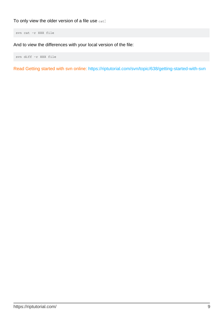To only view the older version of a file use  $cat$ :

svn cat -r XXX file

And to view the differences with your local version of the file:

svn diff -r XXX file

Read Getting started with svn online:<https://riptutorial.com/svn/topic/638/getting-started-with-svn>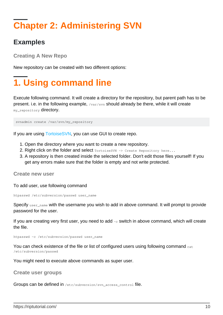# <span id="page-12-0"></span>**Chapter 2: Administering SVN**

### <span id="page-12-1"></span>**Examples**

<span id="page-12-2"></span>**Creating A New Repo**

<span id="page-12-3"></span>New repository can be created with two different options:

# **1. Using command line**

Execute following command. It will create a directory for the repository, but parent path has to be present. i.e. in the following example, /var/svn should already be there, while it will create my repository directory.

svnadmin create /var/svn/my\_repository

If you are using [TortoiseSVN](https://tortoisesvn.net/), you can use GUI to create repo.

- 1. Open the directory where you want to create a new repository.
- 2. Right click on the folder and select TortoiseSVN -> Create Repository here...
- 3. A repository is then created inside the selected folder. Don't edit those files yourself! If you get any errors make sure that the folder is empty and not write protected.

<span id="page-12-4"></span>**Create new user**

To add user, use following command

htpasswd /etc/subversion/passwd user\_name

Specify user\_name with the username you wish to add in above command. It will prompt to provide password for the user.

If you are creating very first user, you need to add  $-c$  switch in above command, which will create the file.

htpasswd -c /etc/subversion/passwd user\_name

You can check existence of the file or list of configured users using following command cat /etc/subversion/passwd

<span id="page-12-5"></span>You might need to execute above commands as super user.

**Create user groups**

Groups can be defined in /etc/subversion/svn\_access\_control file.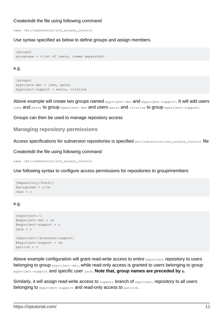#### Create/edit the file using following command

nano /etc/subversion/svn\_access\_control

Use syntax specified as below to define groups and assign members.

```
[groups]
groupname = <list of users, comma separated>
```
#### e.g.

```
[groups]
myproject-dev = john, peter
myproject-support = maria, cristine
```
Above example will create two groups named myproject-dev and myproject-support. It will add users john and peter to group myproject-dev and users maria and cristine to group myproject-support.

<span id="page-13-0"></span>Groups can then be used to manage repository access

#### **Managing repository permissions**

Access specifications for subversion repositories is specified etc/subversion/svn\_access\_control file

Create/edit the file using following command

nano /etc/subversion/svn\_access\_control

Use following syntax to configure access permissions for repositories to group/members

```
[Repository:<Path>]
@groupname = r/rwUser = r
```
#### e.g.

```
[myproject:/]
@myproject-dev = rw
@myproject-support = r
jack = r
[myproject:/branches/support]
@myproject-support = rw
patrick = r
```
Above example configuration will grant read-write access to entire myproject repository to users belonging to group **myproject-dev**, while read-only access is granted to users belonging to group myproject-support and specific user jack. **Note that, group names are preceded by @.**

Similarly, it will assign read-write access to support branch of myproject repository to all users belonging to myproject-support and read-only access to patrick.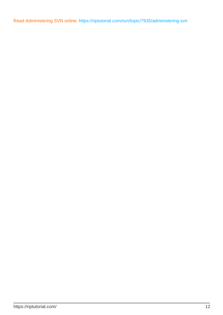Read Administering SVN online: <https://riptutorial.com/svn/topic/7935/administering-svn>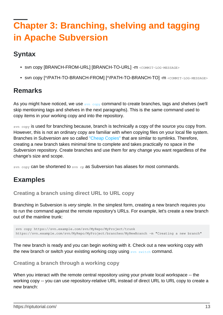# <span id="page-15-0"></span>**Chapter 3: Branching, shelving and tagging in Apache Subversion**

## <span id="page-15-1"></span>**Syntax**

- svn copy [BRANCH-FROM-URL] [BRANCH-TO-URL] -m <COMMIT-LOG-MESSAGE>
- svn copy [^/PATH-TO-BRANCH-FROM] [^/PATH-TO-BRANCH-TO] -m <COMMIT-LOG-MESSAGE>

## <span id="page-15-2"></span>**Remarks**

As you might have noticed, we use syn copy command to create branches, tags and shelves (we'll skip mentioning tags and shelves in the next paragraphs). This is the same command used to copy items in your working copy and into the repository.

syn copy is used for branching because, branch is technically a copy of the source you copy from. However, this is not an ordinary copy are familiar with when copying files on your local file system. Branches in Subversion are so called ["Cheap Copies"](http://svnbook.red-bean.com/en/1.8/svn.branchmerge.using.html#svn.branchmerge.using.create) that are similar to symlinks. Therefore, creating a new branch takes minimal time to complete and takes practically no space in the Subversion repository. Create branches and use them for any change you want regardless of the change's size and scope.

<span id="page-15-3"></span>svn copy can be shortened to svn cp as Subversion has aliases for most commands.

### **Examples**

#### <span id="page-15-4"></span>**Creating a branch using direct URL to URL copy**

Branching in Subversion is very simple. In the simplest form, creating a new branch requires you to run the command against the remote repository's URLs. For example, let's create a new branch out of the mainline trunk:

```
svn copy https://svn.example.com/svn/MyRepo/MyProject/trunk
https://svn.example.com/svn/MyRepo/MyProject/branches/MyNewBranch -m "Creating a new branch"
```
The new branch is ready and you can begin working with it. Check out a new working copy with the new branch or switch your existing working copy using syn switch command.

#### <span id="page-15-5"></span>**Creating a branch through a working copy**

When you interact with the remote central repository using your private local workspace -- the working copy -- you can use repository-relative URL instead of direct URL to URL copy to create a new branch: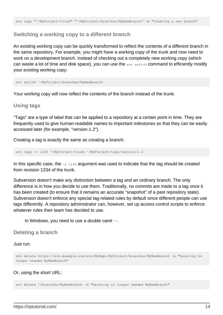#### <span id="page-16-0"></span>**Switching a working copy to a different branch**

An existing working copy can be quickly transformed to reflect the contents of a different branch in the same repository. For example, you might have a working copy of the trunk and now need to work on a development branch. Instead of checking out a completely new working copy (which can waste a lot of time and disk space), you can use the svn switch command to efficiently modify your existing working copy:

svn switch ^/MyProject/branches/MyNewBranch

<span id="page-16-1"></span>Your working copy will now reflect the contents of the branch instead of the trunk.

#### **Using tags**

"Tags" are a type of label that can be applied to a repository at a certain point in time. They are frequently used to give human-readable names to important milestones so that they can be easily accessed later (for example, "version-1.2").

Creating a tag is exactly the same as creating a branch:

svn copy -r 1234 ^/MyProject/trunk ^/MyProject/tags/version-1.2

In this specific case, the  $z_{r}$  1234 argument was used to indicate that the tag should be created from revision 1234 of the trunk.

Subversion doesn't make any distinction between a tag and an ordinary branch. The only difference is in how you decide to use them. Traditionally, no commits are made to a tag once it has been created (to ensure that it remains an accurate "snapshot" of a past repository state). Subversion doesn't enforce any special tag-related rules by default since different people can use tags differently. A repository administrator can, however, set up access control scripts to enforce whatever rules their team has decided to use.

In Windows, you need to use a double caret  $\sim$ .

#### <span id="page-16-2"></span>**Deleting a branch**

#### Just run:

svn delete https://svn.example.com/svn/MyRepo/MyProject/branches/MyNewBranch -m "Deleting no longer needed MyNewBranch"

#### Or, using the short URL:

svn delete  $\gamma$ /branches/MyNewBranch -m "Deleting no longer needed MyNewBranch"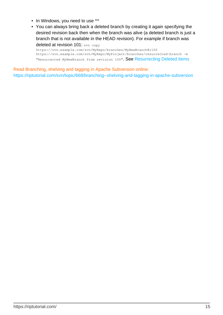- In Windows, you need to use  $\sim$
- You can always bring back a deleted branch by creating it again specifying the desired revision back then when the branch was alive (a deleted branch is just a branch that is not available in the HEAD revision). For example if branch was deleted at revision 101: svn copy

https://svn.example.com/svn/MyRepo/branches/MyNewBranch@r100 https://svn.example.com/svn/MyRepo/MyProject/branches/resurrected-branch -m "Resurrected MyNewBranch from revision 100". See [Resurrecting Deleted Items](http://svnbook.red-bean.com/en/1.7/svn-book.html#svn.branchmerge.basicmerging.resurrect)

Read Branching, shelving and tagging in Apache Subversion online: <https://riptutorial.com/svn/topic/668/branching--shelving-and-tagging-in-apache-subversion>